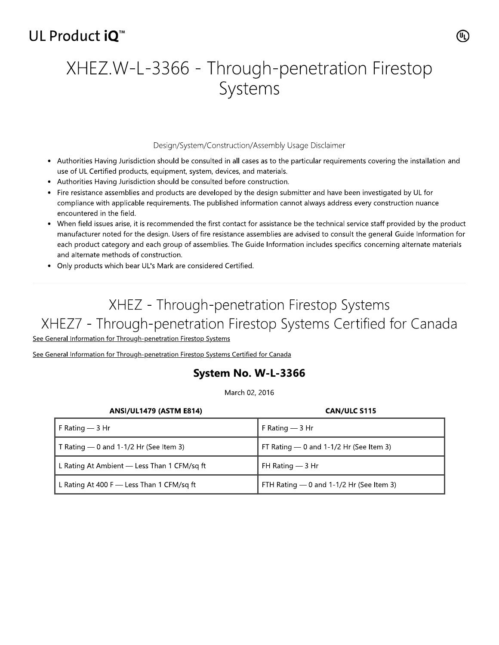## UL Product iO<sup>™</sup>

# XHEZ.W-L-3366 - Through-penetration Firestop Systems

#### Design/System/Construction/Assembly Usage Disclaimer

- Authorities Having Jurisdiction should be consulted in all cases as to the particular requirements covering the installation and use of UL Certified products, equipment, system, devices, and materials.
- Authorities Having Jurisdiction should be consulted before construction.
- Fire resistance assemblies and products are developed by the design submitter and have been investigated by UL for compliance with applicable requirements. The published information cannot always address every construction nuance encountered in the field.
- When field issues arise, it is recommended the first contact for assistance be the technical service staff provided by the product manufacturer noted for the design. Users of fire resistance assemblies are advised to consult the general Guide Information for each product category and each group of assemblies. The Guide Information includes specifics concerning alternate materials and alternate methods of construction.
- Only products which bear UL's Mark are considered Certified.

## XHEZ - Through-penetration Firestop Systems XHEZ7 - Through-penetration Firestop Systems Certified for Canada

See General Information for Through-penetration Firestop Systems

See General Information for Through-penetration Firestop Systems Certified for Canada

### System No. W-L-3366

March 02, 2016

| <b>ANSI/UL1479 (ASTM E814)</b>              | <b>CAN/ULC S115</b>                        |
|---------------------------------------------|--------------------------------------------|
| F Rating $-$ 3 Hr                           | F Rating $-$ 3 Hr                          |
| T Rating $-$ 0 and 1-1/2 Hr (See Item 3)    | FT Rating - 0 and 1-1/2 Hr (See Item 3)    |
| L Rating At Ambient — Less Than 1 CFM/sq ft | FH Rating $-$ 3 Hr                         |
| L Rating At 400 F $-$ Less Than 1 CFM/sq ft | FTH Rating $-$ 0 and 1-1/2 Hr (See Item 3) |

(ሢ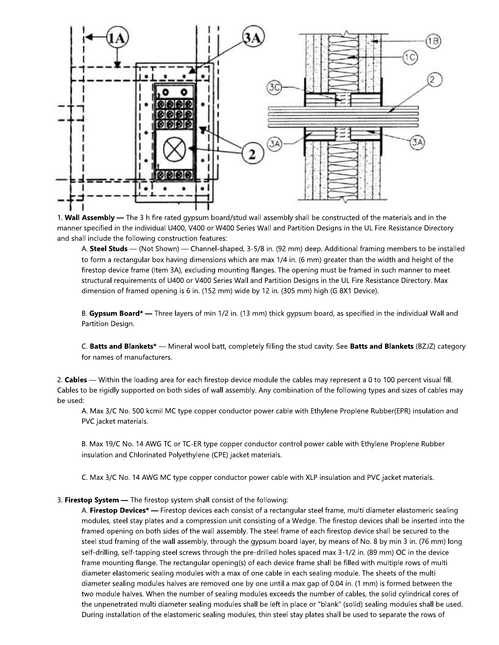

1. Wall Assembly - The 3 h fire rated gypsum board/stud wall assembly shall be constructed of the materials and in the manner specified in the individual U400, V400 or W400 Series Wall and Partition Designs in the UL Fire Resistance Directory and shall include the following construction features:

A. Steel Studs — (Not Shown) — Channel-shaped, 3-5/8 in. (92 mm) deep. Additional framing members to be installed to form a rectangular box having dimensions which are max 1/4 in. (6 mm) greater than the width and height of the firestop device frame (Item 3A), excluding mounting flanges. The opening must be framed in such manner to meet structural requirements of U400 or V400 Series Wall and Partition Designs in the UL Fire Resistance Directory. Max dimension of framed opening is 6 in. (152 mm) wide by 12 in. (305 mm) high (G 8X1 Device).

B. Gypsum Board\* - Three layers of min 1/2 in. (13 mm) thick gypsum board, as specified in the individual Wall and Partition Design.

C. Batts and Blankets\* — Mineral wool batt, completely filling the stud cavity. See Batts and Blankets (BZJZ) category for names of manufacturers.

2. Cables — Within the loading area for each firestop device module the cables may represent a 0 to 100 percent visual fill. Cables to be rigidly supported on both sides of wall assembly. Any combination of the following types and sizes of cables may be used:

A. Max 3/C No. 500 kcmil MC type copper conductor power cable with Ethylene Proplene Rubber(EPR) insulation and PVC jacket materials.

B. Max 19/C No. 14 AWG TC or TC-ER type copper conductor control power cable with Ethylene Proplene Rubber insulation and Chlorinated Polyethylene (CPE) jacket materials.

C. Max 3/C No. 14 AWG MC type copper conductor power cable with XLP insulation and PVC jacket materials.

#### 3. Firestop System - The firestop system shall consist of the following:

A. Firestop Devices\* - Firestop devices each consist of a rectangular steel frame, multi diameter elastomeric sealing modules, steel stay plates and a compression unit consisting of a Wedge. The firestop devices shall be inserted into the framed opening on both sides of the wall assembly. The steel frame of each firestop device shall be secured to the steel stud framing of the wall assembly, through the gypsum board layer, by means of No. 8 by min 3 in. (76 mm) long self-drilling, self-tapping steel screws through the pre-drilled holes spaced max 3-1/2 in. (89 mm) OC in the device frame mounting flange. The rectangular opening(s) of each device frame shall be filled with multiple rows of multi diameter elastomeric sealing modules with a max of one cable in each sealing module. The sheets of the multi diameter sealing modules halves are removed one by one until a max gap of 0.04 in. (1 mm) is formed between the two module halves. When the number of sealing modules exceeds the number of cables, the solid cylindrical cores of the unpenetrated multi diameter sealing modules shall be left in place or "blank" (solid) sealing modules shall be used. During installation of the elastomeric sealing modules, thin steel stay plates shall be used to separate the rows of